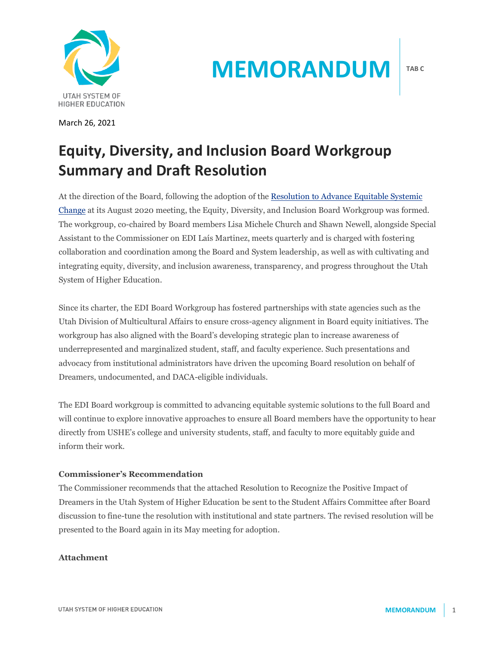

March 26, 2021

# **MEMORANDUM**

# **Equity, Diversity, and Inclusion Board Workgroup Summary and Draft Resolution**

At the direction of the Board, following the adoption of the [Resolution to Advance Equitable Systemic](https://ushe.edu/wp-content/uploads/pdf/edi/2020_Equity_Resolution.pdf)  [Change](https://ushe.edu/wp-content/uploads/pdf/edi/2020_Equity_Resolution.pdf) at its August 2020 meeting, the Equity, Diversity, and Inclusion Board Workgroup was formed. The workgroup, co-chaired by Board members Lisa Michele Church and Shawn Newell, alongside Special Assistant to the Commissioner on EDI Laís Martinez, meets quarterly and is charged with fostering collaboration and coordination among the Board and System leadership, as well as with cultivating and integrating equity, diversity, and inclusion awareness, transparency, and progress throughout the Utah System of Higher Education.

Since its charter, the EDI Board Workgroup has fostered partnerships with state agencies such as the Utah Division of Multicultural Affairs to ensure cross-agency alignment in Board equity initiatives. The workgroup has also aligned with the Board's developing strategic plan to increase awareness of underrepresented and marginalized student, staff, and faculty experience. Such presentations and advocacy from institutional administrators have driven the upcoming Board resolution on behalf of Dreamers, undocumented, and DACA-eligible individuals.

The EDI Board workgroup is committed to advancing equitable systemic solutions to the full Board and will continue to explore innovative approaches to ensure all Board members have the opportunity to hear directly from USHE's college and university students, staff, and faculty to more equitably guide and inform their work.

## **Commissioner's Recommendation**

The Commissioner recommends that the attached Resolution to Recognize the Positive Impact of Dreamers in the Utah System of Higher Education be sent to the Student Affairs Committee after Board discussion to fine-tune the resolution with institutional and state partners. The revised resolution will be presented to the Board again in its May meeting for adoption.

### **Attachment**